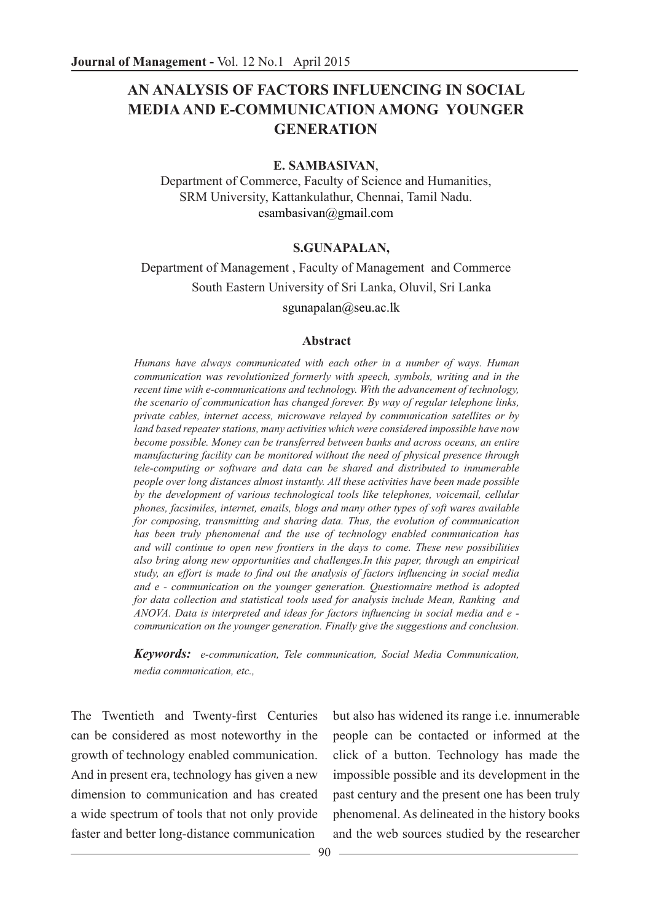# **AN ANALYSIS OF FACTORS INFLUENCING IN SOCIAL MEDIA AND E-COMMUNICATION AMONG YOUNGER GENERATION**

#### **E. SAMBASIVAN**,

Department of Commerce, Faculty of Science and Humanities, SRM University, Kattankulathur, Chennai, Tamil Nadu. esambasivan@gmail.com

#### **S.GUNAPALAN,**

### Department of Management , Faculty of Management and Commerce South Eastern University of Sri Lanka, Oluvil, Sri Lanka sgunapalan@seu.ac.lk

#### **Abstract**

*Humans have always communicated with each other in a number of ways. Human communication was revolutionized formerly with speech, symbols, writing and in the recent time with e-communications and technology. With the advancement of technology, the scenario of communication has changed forever. By way of regular telephone links, private cables, internet access, microwave relayed by communication satellites or by land based repeater stations, many activities which were considered impossible have now become possible. Money can be transferred between banks and across oceans, an entire manufacturing facility can be monitored without the need of physical presence through tele-computing or software and data can be shared and distributed to innumerable people over long distances almost instantly. All these activities have been made possible by the development of various technological tools like telephones, voicemail, cellular phones, facsimiles, internet, emails, blogs and many other types of soft wares available for composing, transmitting and sharing data. Thus, the evolution of communication has been truly phenomenal and the use of technology enabled communication has and will continue to open new frontiers in the days to come. These new possibilities also bring along new opportunities and challenges.In this paper, through an empirical study, an effort is made to find out the analysis of factors influencing in social media and e - communication on the younger generation. Questionnaire method is adopted for data collection and statistical tools used for analysis include Mean, Ranking and ANOVA. Data is interpreted and ideas for factors influencing in social media and e communication on the younger generation. Finally give the suggestions and conclusion.*

*Keywords: e-communication, Tele communication, Social Media Communication, media communication, etc.,*

The Twentieth and Twenty-first Centuries can be considered as most noteworthy in the growth of technology enabled communication. And in present era, technology has given a new dimension to communication and has created a wide spectrum of tools that not only provide faster and better long-distance communication

but also has widened its range i.e. innumerable people can be contacted or informed at the click of a button. Technology has made the impossible possible and its development in the past century and the present one has been truly phenomenal. As delineated in the history books and the web sources studied by the researcher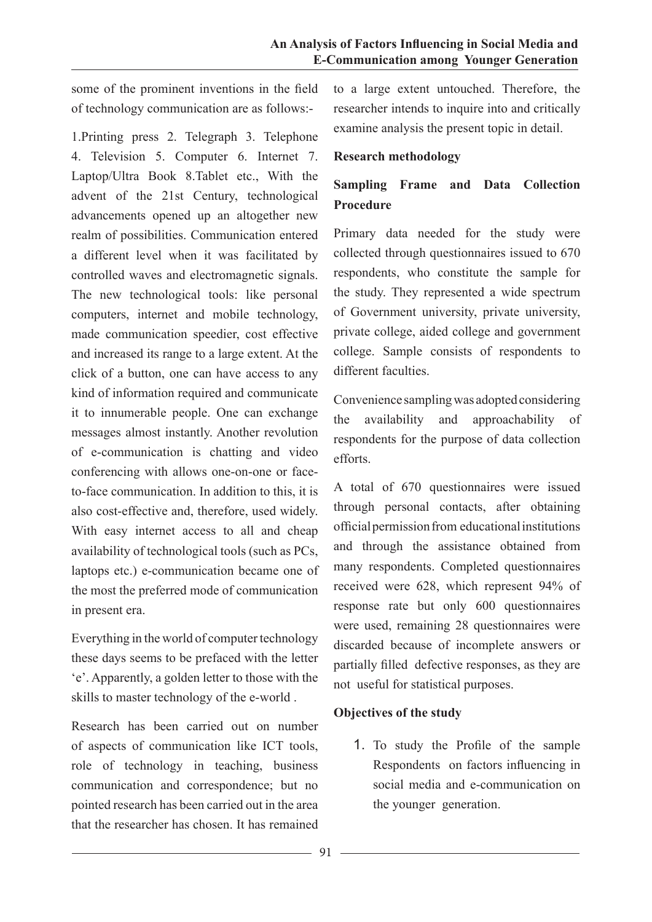some of the prominent inventions in the field of technology communication are as follows:-

1.Printing press 2. Telegraph 3. Telephone 4. Television 5. Computer 6. Internet 7. Laptop/Ultra Book 8.Tablet etc., With the advent of the 21st Century, technological advancements opened up an altogether new realm of possibilities. Communication entered a different level when it was facilitated by controlled waves and electromagnetic signals. The new technological tools: like personal computers, internet and mobile technology, made communication speedier, cost effective and increased its range to a large extent. At the click of a button, one can have access to any kind of information required and communicate it to innumerable people. One can exchange messages almost instantly. Another revolution of e-communication is chatting and video conferencing with allows one-on-one or faceto-face communication. In addition to this, it is also cost-effective and, therefore, used widely. With easy internet access to all and cheap availability of technological tools (such as PCs, laptops etc.) e-communication became one of the most the preferred mode of communication in present era.

Everything in the world of computer technology these days seems to be prefaced with the letter 'e'. Apparently, a golden letter to those with the skills to master technology of the e-world .

Research has been carried out on number of aspects of communication like ICT tools, role of technology in teaching, business communication and correspondence; but no pointed research has been carried out in the area that the researcher has chosen. It has remained to a large extent untouched. Therefore, the researcher intends to inquire into and critically examine analysis the present topic in detail.

#### **Research methodology**

# **Sampling Frame and Data Collection Procedure**

Primary data needed for the study were collected through questionnaires issued to 670 respondents, who constitute the sample for the study. They represented a wide spectrum of Government university, private university, private college, aided college and government college. Sample consists of respondents to different faculties

Convenience sampling was adopted considering the availability and approachability of respondents for the purpose of data collection efforts.

A total of 670 questionnaires were issued through personal contacts, after obtaining official permission from educational institutions and through the assistance obtained from many respondents. Completed questionnaires received were 628, which represent 94% of response rate but only 600 questionnaires were used, remaining 28 questionnaires were discarded because of incomplete answers or partially filled defective responses, as they are not useful for statistical purposes.

### **Objectives of the study**

1. To study the Profile of the sample Respondents on factors influencing in social media and e-communication on the younger generation.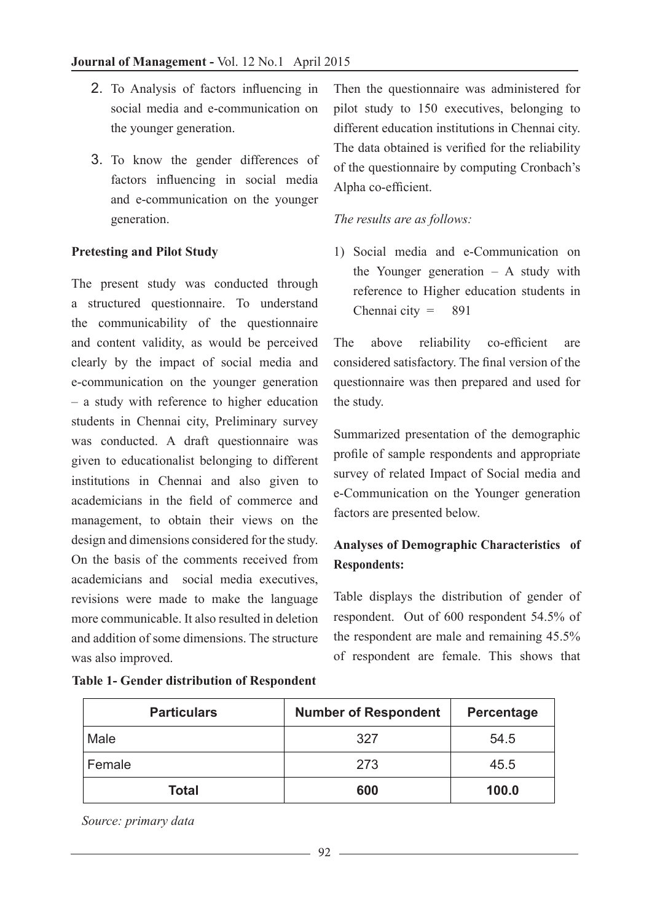- 2. To Analysis of factors influencing in social media and e-communication on the younger generation.
- 3. To know the gender differences of factors influencing in social media and e-communication on the younger generation.

### **Pretesting and Pilot Study**

The present study was conducted through a structured questionnaire. To understand the communicability of the questionnaire and content validity, as would be perceived clearly by the impact of social media and e-communication on the younger generation – a study with reference to higher education students in Chennai city, Preliminary survey was conducted. A draft questionnaire was given to educationalist belonging to different institutions in Chennai and also given to academicians in the field of commerce and management, to obtain their views on the design and dimensions considered for the study. On the basis of the comments received from academicians and social media executives, revisions were made to make the language more communicable. It also resulted in deletion and addition of some dimensions. The structure was also improved.

**Table 1- Gender distribution of Respondent** 

Then the questionnaire was administered for pilot study to 150 executives, belonging to different education institutions in Chennai city. The data obtained is verified for the reliability of the questionnaire by computing Cronbach's Alpha co-efficient.

### *The results are as follows:*

1) Social media and e-Communication on the Younger generation – A study with reference to Higher education students in Chennai city  $=$  891

The above reliability co-efficient are considered satisfactory. The final version of the questionnaire was then prepared and used for the study.

Summarized presentation of the demographic profile of sample respondents and appropriate survey of related Impact of Social media and e-Communication on the Younger generation factors are presented below.

# **Analyses of Demographic Characteristics of Respondents:**

Table displays the distribution of gender of respondent. Out of 600 respondent 54.5% of the respondent are male and remaining 45.5% of respondent are female. This shows that

| <b>Particulars</b> | <b>Number of Respondent</b> | <b>Percentage</b> |  |
|--------------------|-----------------------------|-------------------|--|
| Male               | 327                         | 54.5              |  |
| Female             | 273                         | 45.5              |  |
| Total              | 600                         | 100.0             |  |

 *Source: primary data*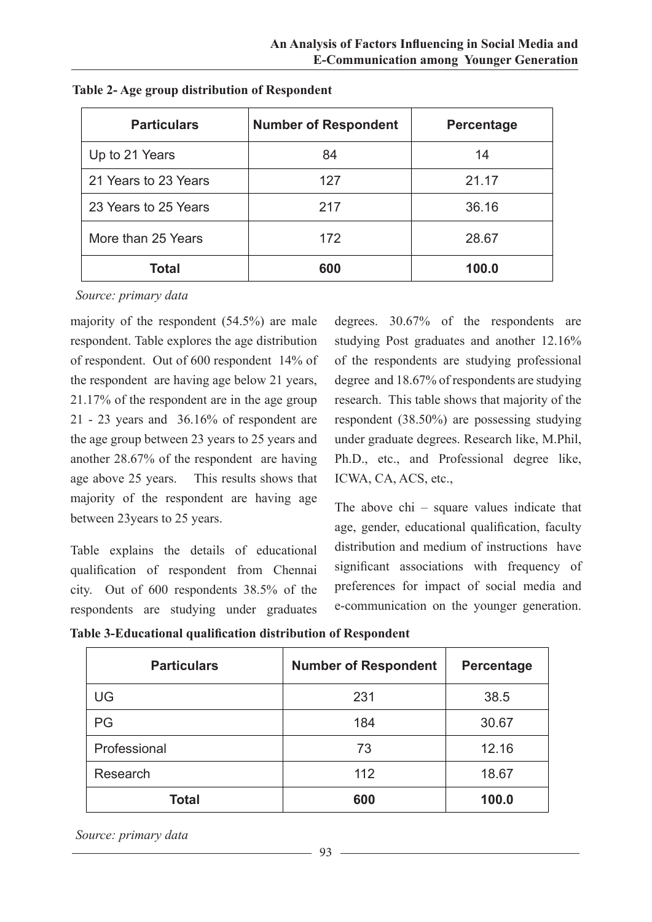| <b>Particulars</b>   | <b>Number of Respondent</b> | Percentage |
|----------------------|-----------------------------|------------|
| Up to 21 Years       | 84                          | 14         |
| 21 Years to 23 Years | 127                         | 21.17      |
| 23 Years to 25 Years | 217                         | 36.16      |
| More than 25 Years   | 172                         | 28.67      |
| <b>Total</b>         | 600                         | 100.0      |

**Table 2- Age group distribution of Respondent** 

*Source: primary data*

majority of the respondent (54.5%) are male respondent. Table explores the age distribution of respondent. Out of 600 respondent 14% of the respondent are having age below 21 years, 21.17% of the respondent are in the age group 21 - 23 years and 36.16% of respondent are the age group between 23 years to 25 years and another 28.67% of the respondent are having age above 25 years. This results shows that majority of the respondent are having age between 23years to 25 years.

Table explains the details of educational qualification of respondent from Chennai city. Out of 600 respondents 38.5% of the respondents are studying under graduates degrees. 30.67% of the respondents are studying Post graduates and another 12.16% of the respondents are studying professional degree and 18.67% of respondents are studying research. This table shows that majority of the respondent (38.50%) are possessing studying under graduate degrees. Research like, M.Phil, Ph.D., etc., and Professional degree like, ICWA, CA, ACS, etc.,

The above chi – square values indicate that age, gender, educational qualification, faculty distribution and medium of instructions have significant associations with frequency of preferences for impact of social media and e-communication on the younger generation.

**Table 3-Educational qualification distribution of Respondent**

| <b>Particulars</b> | <b>Number of Respondent</b> | Percentage |  |
|--------------------|-----------------------------|------------|--|
| UG                 | 231                         | 38.5       |  |
| PG                 | 184                         | 30.67      |  |
| Professional       | 73                          | 12.16      |  |
| Research           | 112                         | 18.67      |  |
| Total              | 600                         | 100.0      |  |

*Source: primary data*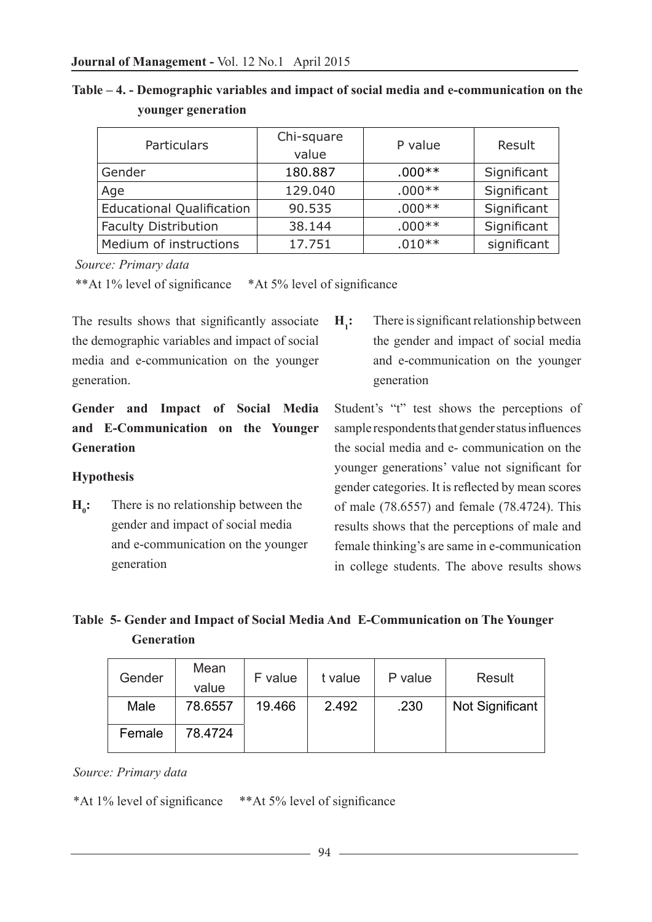**Table – 4. - Demographic variables and impact of social media and e-communication on the younger generation**

| Particulars                      | Chi-square<br>value | P value  | Result      |
|----------------------------------|---------------------|----------|-------------|
| Gender                           | 180.887             | $.000**$ | Significant |
| Age                              | 129.040             | $.000**$ | Significant |
| <b>Educational Qualification</b> | 90.535              | $.000**$ | Significant |
| <b>Faculty Distribution</b>      | 38.144              | $.000**$ | Significant |
| Medium of instructions           | 17.751              | $.010**$ | significant |

 *Source: Primary data*

\*\*At 1% level of significance \*At 5% level of significance

The results shows that significantly associate the demographic variables and impact of social media and e-communication on the younger generation.

# **Gender and Impact of Social Media and E-Communication on the Younger Generation**

### **Hypothesis**

 $H_0$ : **:** There is no relationship between the gender and impact of social media and e-communication on the younger generation

 $H<sub>i</sub>$ : **:** There is significant relationship between the gender and impact of social media and e-communication on the younger generation

Student's "t" test shows the perceptions of sample respondents that gender status influences the social media and e- communication on the younger generations' value not significant for gender categories. It is reflected by mean scores of male (78.6557) and female (78.4724). This results shows that the perceptions of male and female thinking's are same in e-communication in college students. The above results shows

# **Table 5- Gender and Impact of Social Media And E-Communication on The Younger Generation**

| Gender | Mean<br>value | F value | t value | P value | Result          |
|--------|---------------|---------|---------|---------|-----------------|
| Male   | 78.6557       | 19.466  | 2.492   | .230    | Not Significant |
| Female | 78.4724       |         |         |         |                 |

*Source: Primary data*

\*At 1% level of significance \*\*At 5% level of significance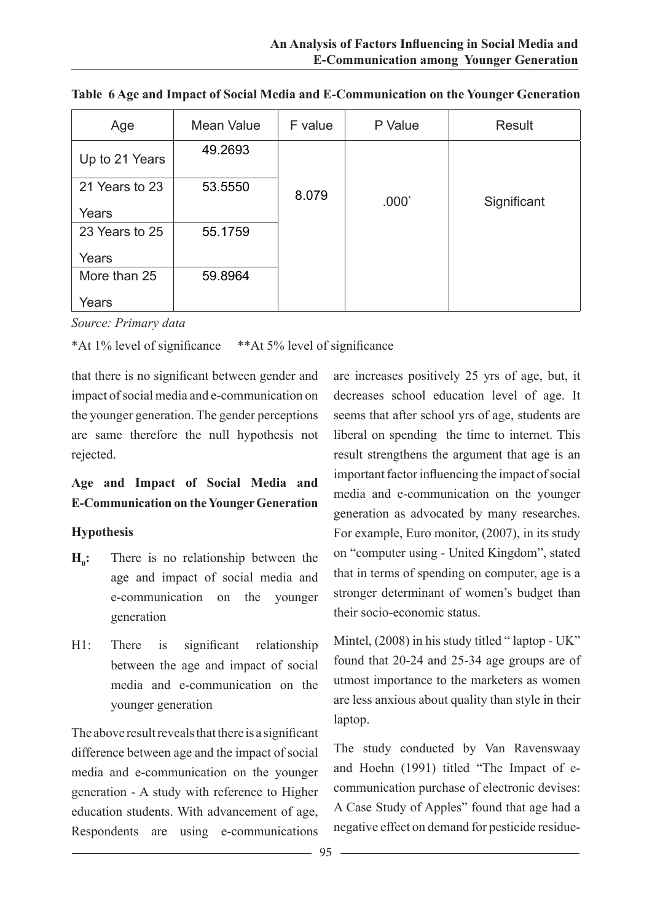| Age            | Mean Value | F value | P Value | Result      |
|----------------|------------|---------|---------|-------------|
| Up to 21 Years | 49.2693    |         |         |             |
| 21 Years to 23 | 53.5550    | 8.079   | $.000*$ | Significant |
| Years          |            |         |         |             |
| 23 Years to 25 | 55.1759    |         |         |             |
| Years          |            |         |         |             |
| More than 25   | 59.8964    |         |         |             |
| Years          |            |         |         |             |

**Table 6 Age and Impact of Social Media and E-Communication on the Younger Generation**

*Source: Primary data*

\*At 1% level of significance \*\*At 5% level of significance

that there is no significant between gender and impact of social media and e-communication on the younger generation. The gender perceptions are same therefore the null hypothesis not rejected.

# **Age and Impact of Social Media and E-Communication on the Younger Generation**

### **Hypothesis**

- $H_{\circ}$ : **:** There is no relationship between the age and impact of social media and e-communication on the younger generation
- H1: There is significant relationship between the age and impact of social media and e-communication on the younger generation

The above result reveals that there is a significant difference between age and the impact of social media and e-communication on the younger generation - A study with reference to Higher education students. With advancement of age, Respondents are using e-communications

are increases positively 25 yrs of age, but, it decreases school education level of age. It seems that after school yrs of age, students are liberal on spending the time to internet. This result strengthens the argument that age is an important factor influencing the impact of social media and e-communication on the younger generation as advocated by many researches. For example, Euro monitor, (2007), in its study on "computer using - United Kingdom", stated that in terms of spending on computer, age is a stronger determinant of women's budget than their socio-economic status.

Mintel, (2008) in his study titled "laptop - UK" found that 20-24 and 25-34 age groups are of utmost importance to the marketers as women are less anxious about quality than style in their laptop.

The study conducted by Van Ravenswaay and Hoehn (1991) titled "The Impact of ecommunication purchase of electronic devises: A Case Study of Apples" found that age had a negative effect on demand for pesticide residue-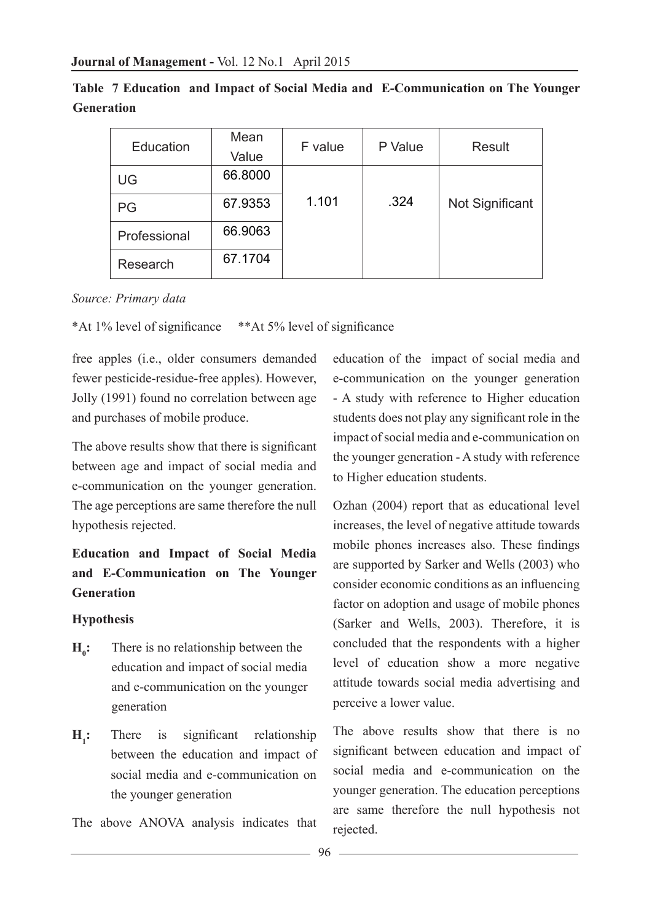| Education    | Mean    | F value | P Value | Result          |  |
|--------------|---------|---------|---------|-----------------|--|
|              | Value   |         |         |                 |  |
| UG           | 66.8000 |         |         |                 |  |
| PG           | 67.9353 | 1.101   | .324    | Not Significant |  |
| Professional | 66.9063 |         |         |                 |  |
| Research     | 67.1704 |         |         |                 |  |

|            | Table 7 Education and Impact of Social Media and E-Communication on The Younger |  |
|------------|---------------------------------------------------------------------------------|--|
| Generation |                                                                                 |  |

#### *Source: Primary data*

\*At 1% level of significance \*\*At 5% level of significance

free apples (i.e., older consumers demanded fewer pesticide-residue-free apples). However, Jolly (1991) found no correlation between age and purchases of mobile produce.

The above results show that there is significant between age and impact of social media and e-communication on the younger generation. The age perceptions are same therefore the null hypothesis rejected.

# **Education and Impact of Social Media and E-Communication on The Younger Generation**

#### **Hypothesis**

- $H_{0}$ : **:** There is no relationship between the education and impact of social media and e-communication on the younger generation
- $H_1$ : **:** There is significant relationship between the education and impact of social media and e-communication on the younger generation

The above ANOVA analysis indicates that

education of the impact of social media and e-communication on the younger generation - A study with reference to Higher education students does not play any significant role in the impact of social media and e-communication on the younger generation - A study with reference to Higher education students.

Ozhan (2004) report that as educational level increases, the level of negative attitude towards mobile phones increases also. These findings are supported by Sarker and Wells (2003) who consider economic conditions as an influencing factor on adoption and usage of mobile phones (Sarker and Wells, 2003). Therefore, it is concluded that the respondents with a higher level of education show a more negative attitude towards social media advertising and perceive a lower value.

The above results show that there is no significant between education and impact of social media and e-communication on the younger generation. The education perceptions are same therefore the null hypothesis not rejected.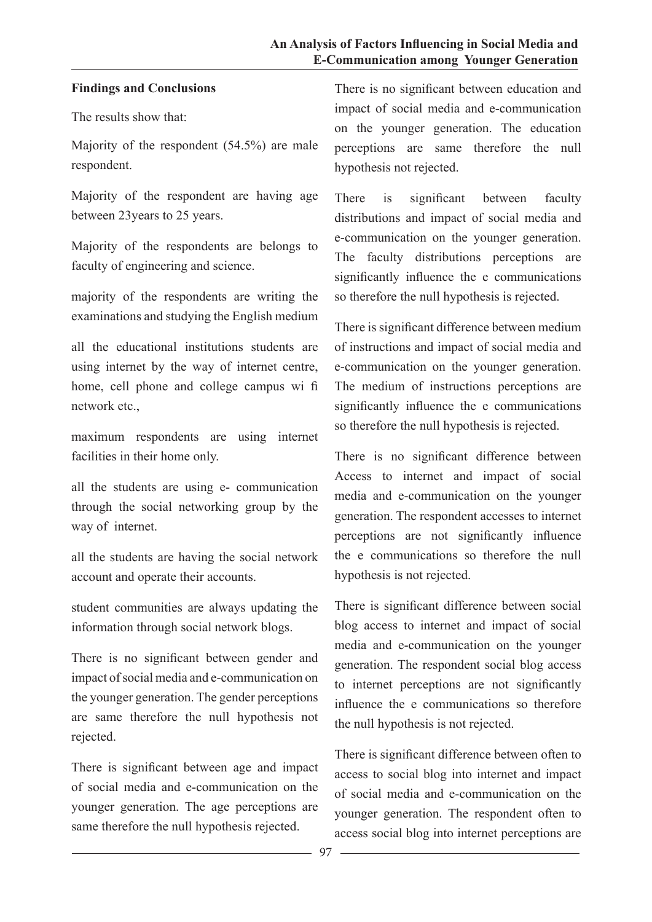### **Findings and Conclusions**

The results show that:

Majority of the respondent (54.5%) are male respondent.

Majority of the respondent are having age between 23years to 25 years.

Majority of the respondents are belongs to faculty of engineering and science.

majority of the respondents are writing the examinations and studying the English medium

all the educational institutions students are using internet by the way of internet centre, home, cell phone and college campus wi fi network etc.,

maximum respondents are using internet facilities in their home only.

all the students are using e- communication through the social networking group by the way of internet.

all the students are having the social network account and operate their accounts.

student communities are always updating the information through social network blogs.

There is no significant between gender and impact of social media and e-communication on the younger generation. The gender perceptions are same therefore the null hypothesis not rejected.

There is significant between age and impact of social media and e-communication on the younger generation. The age perceptions are same therefore the null hypothesis rejected.

There is no significant between education and impact of social media and e-communication on the younger generation. The education perceptions are same therefore the null hypothesis not rejected.

There is significant between faculty distributions and impact of social media and e-communication on the younger generation. The faculty distributions perceptions are significantly influence the e communications so therefore the null hypothesis is rejected.

There is significant difference between medium of instructions and impact of social media and e-communication on the younger generation. The medium of instructions perceptions are significantly influence the e communications so therefore the null hypothesis is rejected.

There is no significant difference between Access to internet and impact of social media and e-communication on the younger generation. The respondent accesses to internet perceptions are not significantly influence the e communications so therefore the null hypothesis is not rejected.

There is significant difference between social blog access to internet and impact of social media and e-communication on the younger generation. The respondent social blog access to internet perceptions are not significantly influence the e communications so therefore the null hypothesis is not rejected.

There is significant difference between often to access to social blog into internet and impact of social media and e-communication on the younger generation. The respondent often to access social blog into internet perceptions are